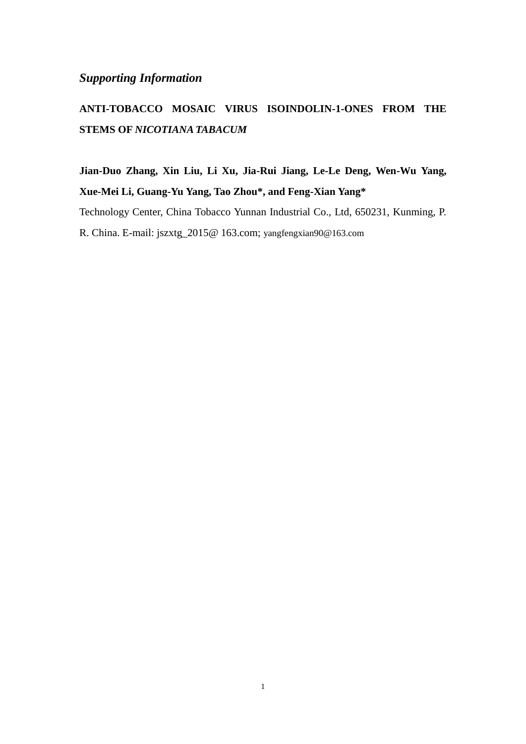## *Supporting Information*

## **ANTI-TOBACCO MOSAIC VIRUS ISOINDOLIN-1-ONES FROM THE STEMS OF** *NICOTIANA TABACUM*

**Jian-Duo Zhang, Xin Liu, Li Xu, Jia-Rui Jiang, Le-Le Deng, Wen-Wu Yang, Xue-Mei Li, Guang-Yu Yang, Tao Zhou\*, and Feng-Xian Yang\*** Technology Center, China Tobacco Yunnan Industrial Co., Ltd, 650231, Kunming, P. R. China. E-mail: jszxtg\_2015@ 163.com; yangfengxian90@163.com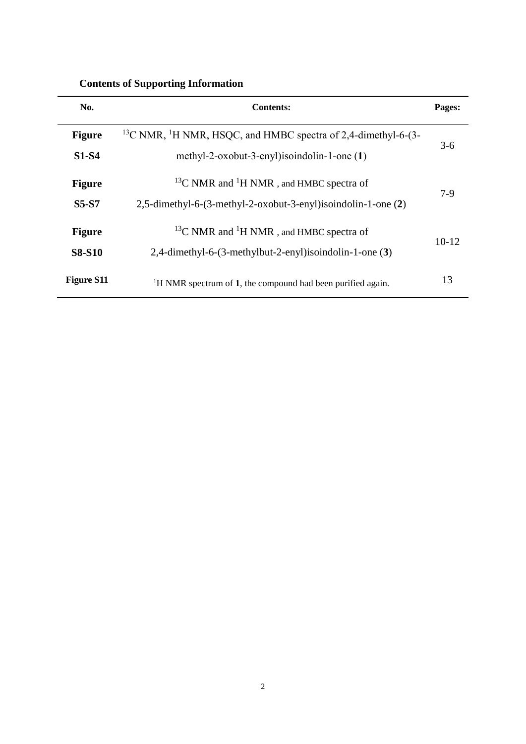| No.               | <b>Contents:</b>                                                                      | Pages:  |
|-------------------|---------------------------------------------------------------------------------------|---------|
| <b>Figure</b>     | <sup>13</sup> C NMR, <sup>1</sup> H NMR, HSQC, and HMBC spectra of 2,4-dimethyl-6-(3- | $3-6$   |
| <b>S1-S4</b>      | methyl-2-oxobut-3-enyl)isoindolin-1-one (1)                                           |         |
| <b>Figure</b>     | <sup>13</sup> C NMR and <sup>1</sup> H NMR, and HMBC spectra of                       |         |
| <b>S5-S7</b>      | 2,5-dimethyl-6-(3-methyl-2-oxobut-3-enyl)isoindolin-1-one (2)                         | 7-9     |
| <b>Figure</b>     | <sup>13</sup> C NMR and <sup>1</sup> H NMR, and HMBC spectra of                       | $10-12$ |
| <b>S8-S10</b>     | 2,4-dimethyl-6-(3-methylbut-2-enyl)isoindolin-1-one (3)                               |         |
| <b>Figure S11</b> | <sup>1</sup> H NMR spectrum of <b>1</b> , the compound had been purified again.       | 13      |

## **Contents of Supporting Information**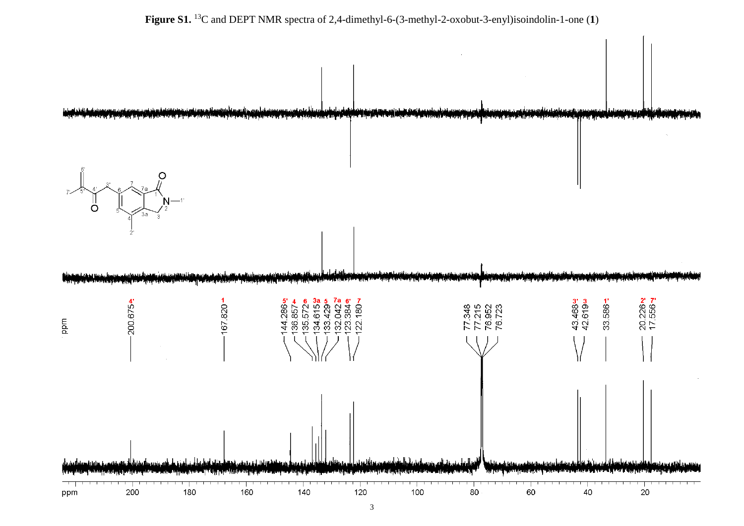



3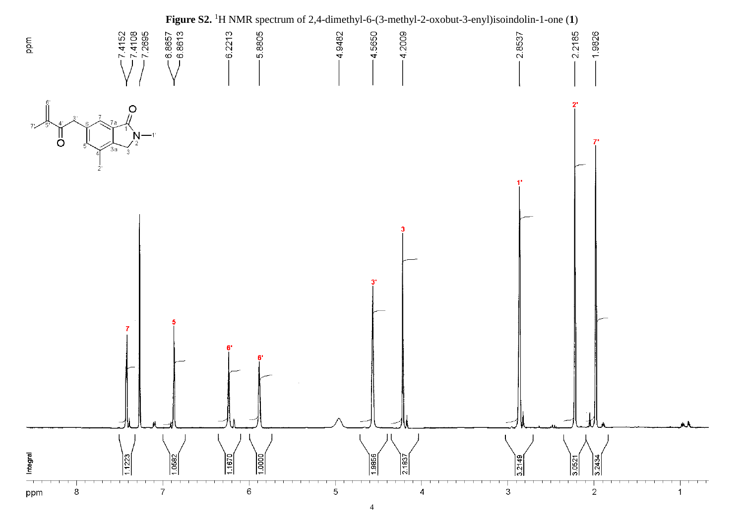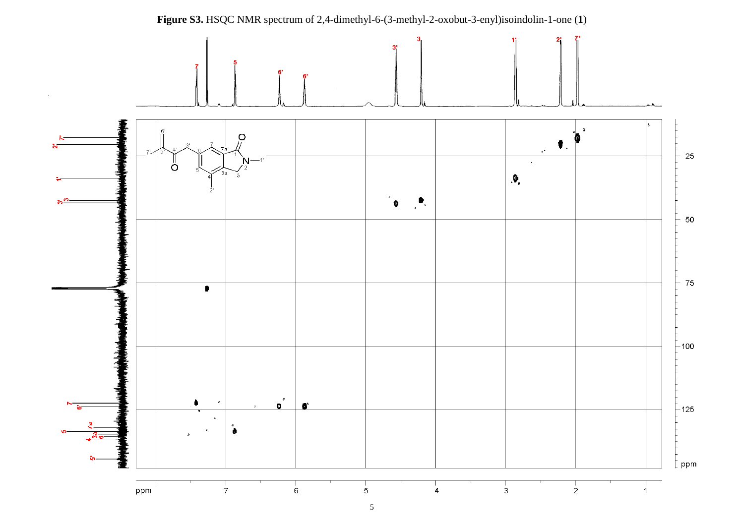

**Figure S3.** HSQC NMR spectrum of 2,4-dimethyl-6-(3-methyl-2-oxobut-3-enyl)isoindolin-1-one (**1**)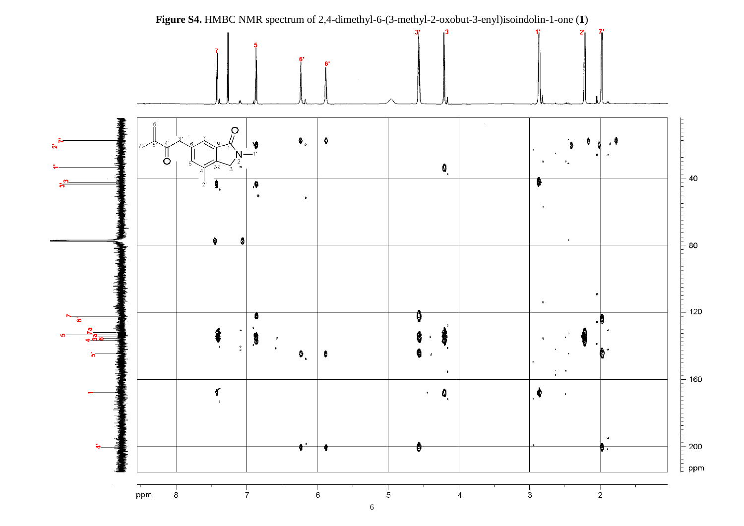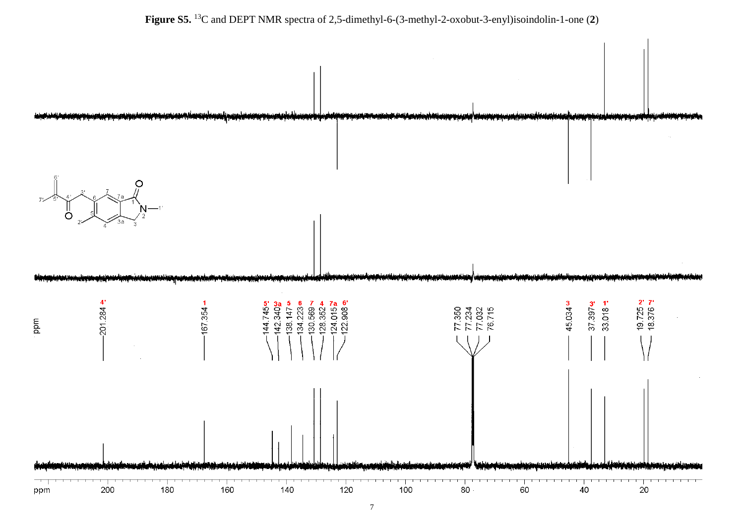

## **Figure S5.**  <sup>13</sup>C and DEPT NMR spectra of 2,5-dimethyl-6-(3-methyl-2-oxobut-3-enyl)isoindolin-1-one (**2**)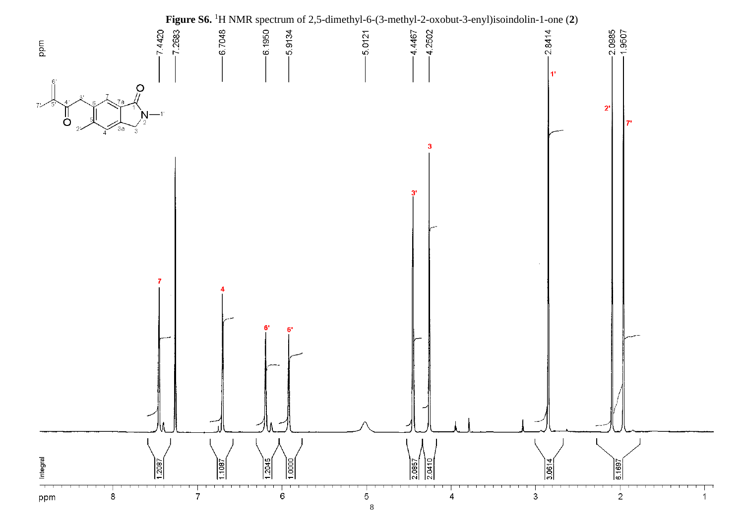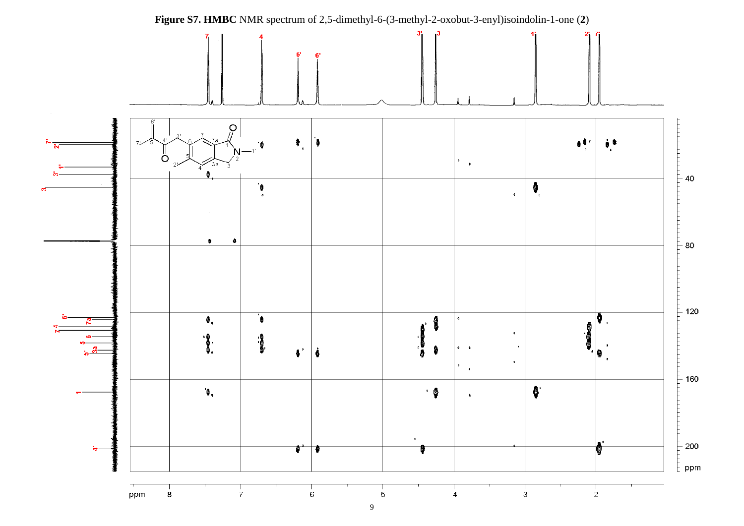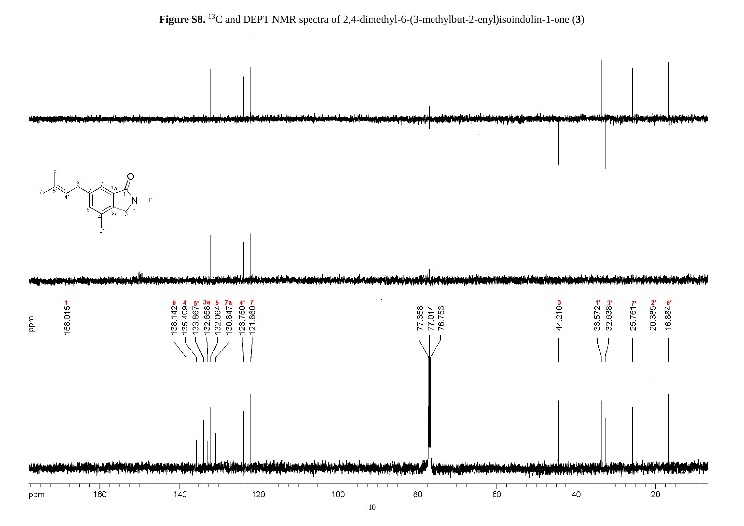

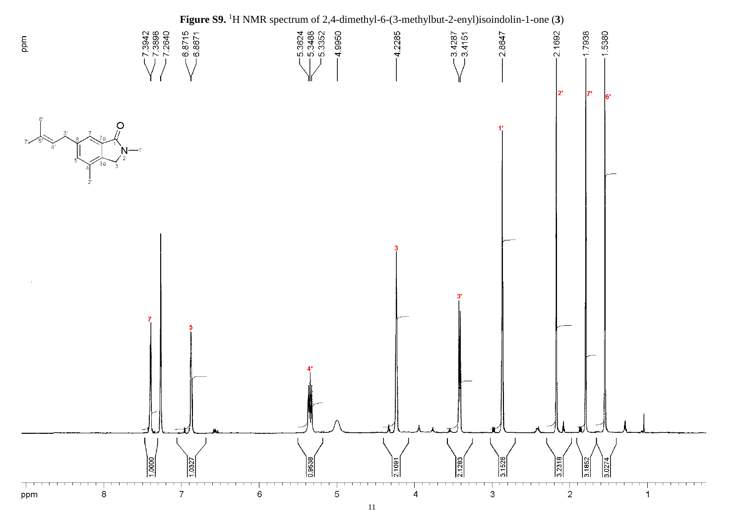

 $11\,$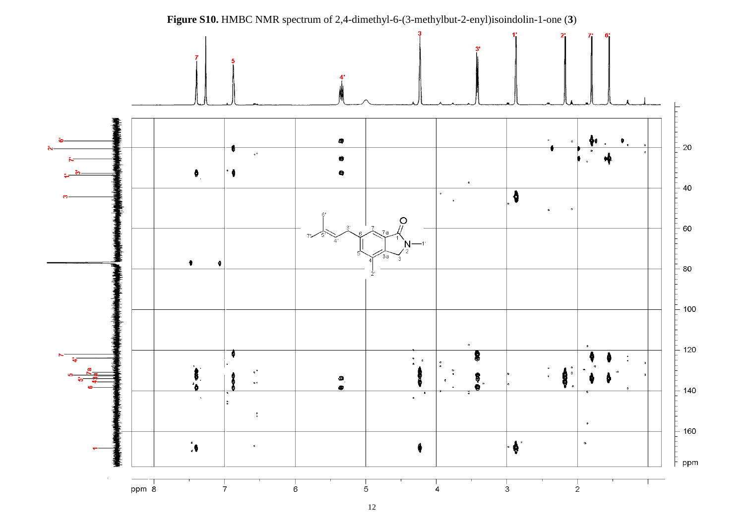